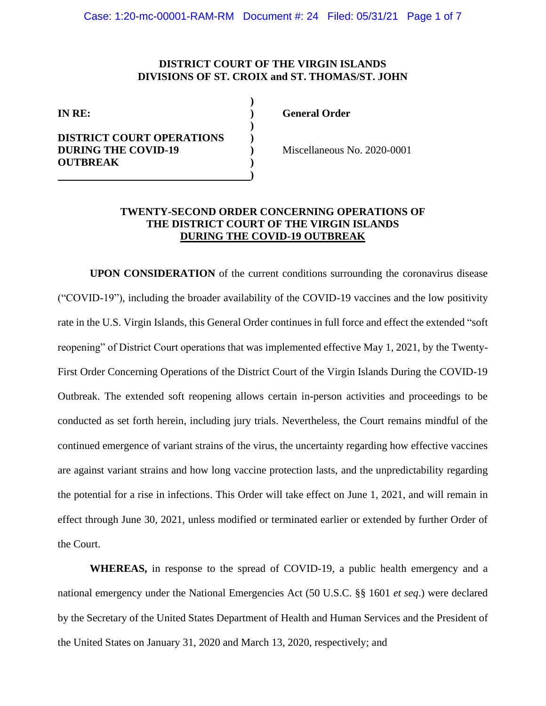# **DISTRICT COURT OF THE VIRGIN ISLANDS DIVISIONS OF ST. CROIX and ST. THOMAS/ST. JOHN**

| IN RE:                                                         |  |
|----------------------------------------------------------------|--|
| <b>DISTRICT COURT OPERATIONS</b><br><b>DURING THE COVID-19</b> |  |
| <b>OUTBREAK</b>                                                |  |

**IN RE: ) General Order** 

**DURING THE COVID-19 )** Miscellaneous No. 2020-0001

# **TWENTY-SECOND ORDER CONCERNING OPERATIONS OF THE DISTRICT COURT OF THE VIRGIN ISLANDS DURING THE COVID-19 OUTBREAK**

**UPON CONSIDERATION** of the current conditions surrounding the coronavirus disease ("COVID-19"), including the broader availability of the COVID-19 vaccines and the low positivity rate in the U.S. Virgin Islands, this General Order continues in full force and effect the extended "soft reopening" of District Court operations that was implemented effective May 1, 2021, by the Twenty-First Order Concerning Operations of the District Court of the Virgin Islands During the COVID-19 Outbreak. The extended soft reopening allows certain in-person activities and proceedings to be conducted as set forth herein, including jury trials. Nevertheless, the Court remains mindful of the continued emergence of variant strains of the virus, the uncertainty regarding how effective vaccines are against variant strains and how long vaccine protection lasts, and the unpredictability regarding the potential for a rise in infections. This Order will take effect on June 1, 2021, and will remain in effect through June 30, 2021, unless modified or terminated earlier or extended by further Order of the Court.

**WHEREAS,** in response to the spread of COVID-19, a public health emergency and a national emergency under the National Emergencies Act (50 U.S.C. §§ 1601 *et seq*.) were declared by the Secretary of the United States Department of Health and Human Services and the President of the United States on January 31, 2020 and March 13, 2020, respectively; and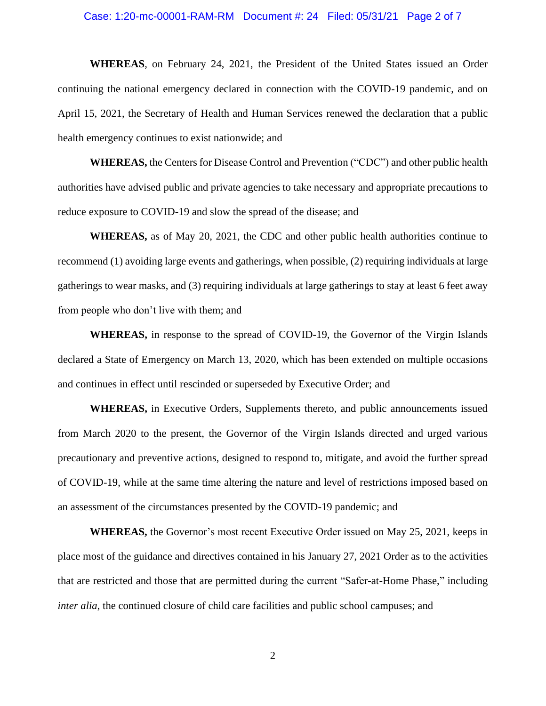## Case: 1:20-mc-00001-RAM-RM Document #: 24 Filed: 05/31/21 Page 2 of 7

**WHEREAS**, on February 24, 2021, the President of the United States issued an Order continuing the national emergency declared in connection with the COVID-19 pandemic, and on April 15, 2021, the Secretary of Health and Human Services renewed the declaration that a public health emergency continues to exist nationwide; and

**WHEREAS,** the Centers for Disease Control and Prevention ("CDC") and other public health authorities have advised public and private agencies to take necessary and appropriate precautions to reduce exposure to COVID-19 and slow the spread of the disease; and

**WHEREAS,** as of May 20, 2021, the CDC and other public health authorities continue to recommend (1) avoiding large events and gatherings, when possible, (2) requiring individuals at large gatherings to wear masks, and (3) requiring individuals at large gatherings to stay at least 6 feet away from people who don't live with them; and

**WHEREAS,** in response to the spread of COVID-19, the Governor of the Virgin Islands declared a State of Emergency on March 13, 2020, which has been extended on multiple occasions and continues in effect until rescinded or superseded by Executive Order; and

**WHEREAS,** in Executive Orders, Supplements thereto, and public announcements issued from March 2020 to the present, the Governor of the Virgin Islands directed and urged various precautionary and preventive actions, designed to respond to, mitigate, and avoid the further spread of COVID-19, while at the same time altering the nature and level of restrictions imposed based on an assessment of the circumstances presented by the COVID-19 pandemic; and

**WHEREAS,** the Governor's most recent Executive Order issued on May 25, 2021, keeps in place most of the guidance and directives contained in his January 27, 2021 Order as to the activities that are restricted and those that are permitted during the current "Safer-at-Home Phase," including *inter alia*, the continued closure of child care facilities and public school campuses; and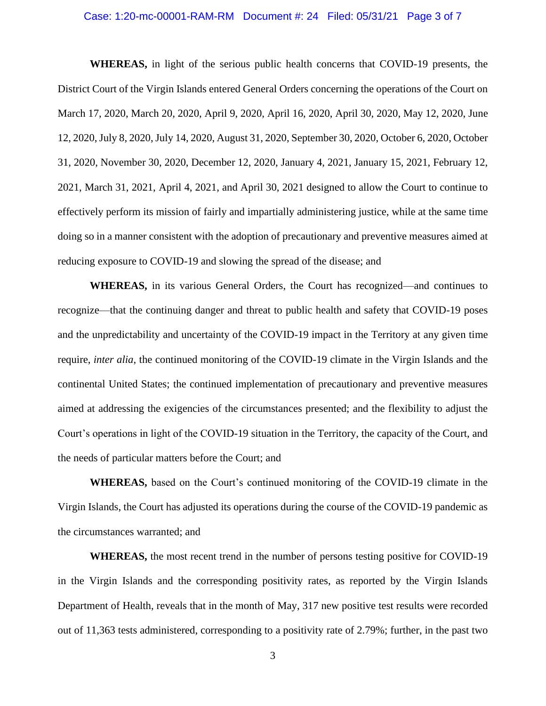## Case: 1:20-mc-00001-RAM-RM Document #: 24 Filed: 05/31/21 Page 3 of 7

**WHEREAS,** in light of the serious public health concerns that COVID-19 presents, the District Court of the Virgin Islands entered General Orders concerning the operations of the Court on March 17, 2020, March 20, 2020, April 9, 2020, April 16, 2020, April 30, 2020, May 12, 2020, June 12, 2020,July 8, 2020, July 14, 2020, August 31, 2020, September 30, 2020, October 6, 2020, October 31, 2020, November 30, 2020, December 12, 2020, January 4, 2021, January 15, 2021, February 12, 2021, March 31, 2021, April 4, 2021, and April 30, 2021 designed to allow the Court to continue to effectively perform its mission of fairly and impartially administering justice, while at the same time doing so in a manner consistent with the adoption of precautionary and preventive measures aimed at reducing exposure to COVID-19 and slowing the spread of the disease; and

**WHEREAS,** in its various General Orders, the Court has recognized—and continues to recognize—that the continuing danger and threat to public health and safety that COVID-19 poses and the unpredictability and uncertainty of the COVID-19 impact in the Territory at any given time require, *inter alia*, the continued monitoring of the COVID-19 climate in the Virgin Islands and the continental United States; the continued implementation of precautionary and preventive measures aimed at addressing the exigencies of the circumstances presented; and the flexibility to adjust the Court's operations in light of the COVID-19 situation in the Territory, the capacity of the Court, and the needs of particular matters before the Court; and

**WHEREAS,** based on the Court's continued monitoring of the COVID-19 climate in the Virgin Islands, the Court has adjusted its operations during the course of the COVID-19 pandemic as the circumstances warranted; and

**WHEREAS,** the most recent trend in the number of persons testing positive for COVID-19 in the Virgin Islands and the corresponding positivity rates, as reported by the Virgin Islands Department of Health, reveals that in the month of May, 317 new positive test results were recorded out of 11,363 tests administered, corresponding to a positivity rate of 2.79%; further, in the past two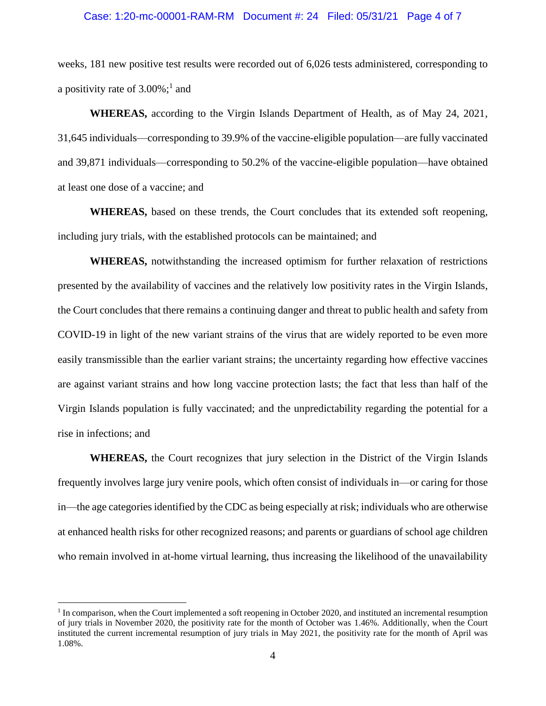#### Case: 1:20-mc-00001-RAM-RM Document #: 24 Filed: 05/31/21 Page 4 of 7

weeks, 181 new positive test results were recorded out of 6,026 tests administered, corresponding to a positivity rate of  $3.00\%$ ;<sup>1</sup> and

**WHEREAS,** according to the Virgin Islands Department of Health, as of May 24, 2021, 31,645 individuals—corresponding to 39.9% of the vaccine-eligible population—are fully vaccinated and 39,871 individuals—corresponding to 50.2% of the vaccine-eligible population—have obtained at least one dose of a vaccine; and

**WHEREAS,** based on these trends, the Court concludes that its extended soft reopening, including jury trials, with the established protocols can be maintained; and

**WHEREAS,** notwithstanding the increased optimism for further relaxation of restrictions presented by the availability of vaccines and the relatively low positivity rates in the Virgin Islands, the Court concludes that there remains a continuing danger and threat to public health and safety from COVID-19 in light of the new variant strains of the virus that are widely reported to be even more easily transmissible than the earlier variant strains; the uncertainty regarding how effective vaccines are against variant strains and how long vaccine protection lasts; the fact that less than half of the Virgin Islands population is fully vaccinated; and the unpredictability regarding the potential for a rise in infections; and

**WHEREAS,** the Court recognizes that jury selection in the District of the Virgin Islands frequently involves large jury venire pools, which often consist of individuals in—or caring for those in—the age categories identified by the CDC as being especially at risk; individuals who are otherwise at enhanced health risks for other recognized reasons; and parents or guardians of school age children who remain involved in at-home virtual learning, thus increasing the likelihood of the unavailability

<sup>&</sup>lt;sup>1</sup> In comparison, when the Court implemented a soft reopening in October 2020, and instituted an incremental resumption of jury trials in November 2020, the positivity rate for the month of October was 1.46%. Additionally, when the Court instituted the current incremental resumption of jury trials in May 2021, the positivity rate for the month of April was 1.08%.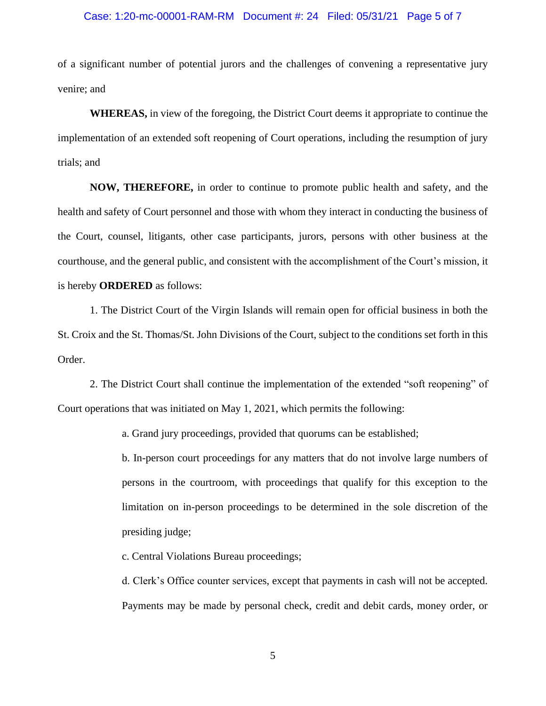# Case: 1:20-mc-00001-RAM-RM Document #: 24 Filed: 05/31/21 Page 5 of 7

of a significant number of potential jurors and the challenges of convening a representative jury venire; and

**WHEREAS,** in view of the foregoing, the District Court deems it appropriate to continue the implementation of an extended soft reopening of Court operations, including the resumption of jury trials; and

**NOW, THEREFORE,** in order to continue to promote public health and safety, and the health and safety of Court personnel and those with whom they interact in conducting the business of the Court, counsel, litigants, other case participants, jurors, persons with other business at the courthouse, and the general public, and consistent with the accomplishment of the Court's mission, it is hereby **ORDERED** as follows:

1. The District Court of the Virgin Islands will remain open for official business in both the St. Croix and the St. Thomas/St. John Divisions of the Court, subject to the conditions set forth in this Order.

2. The District Court shall continue the implementation of the extended "soft reopening" of Court operations that was initiated on May 1, 2021, which permits the following:

a. Grand jury proceedings, provided that quorums can be established;

b. In-person court proceedings for any matters that do not involve large numbers of persons in the courtroom, with proceedings that qualify for this exception to the limitation on in-person proceedings to be determined in the sole discretion of the presiding judge;

c. Central Violations Bureau proceedings;

d. Clerk's Office counter services, except that payments in cash will not be accepted. Payments may be made by personal check, credit and debit cards, money order, or

5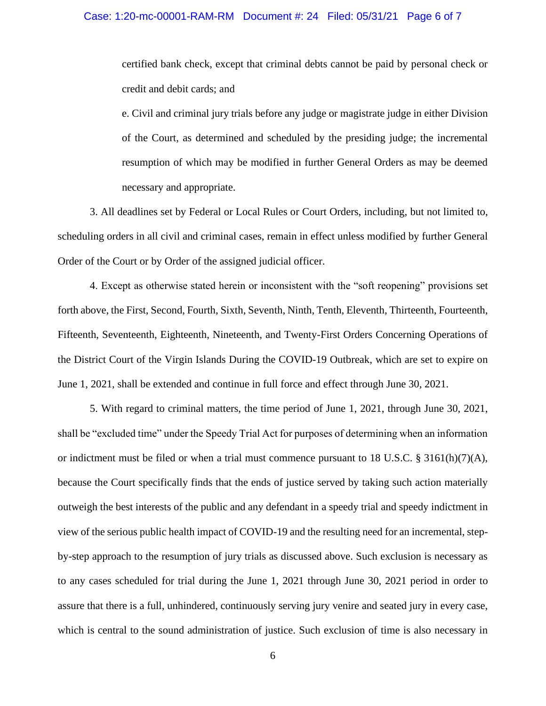certified bank check, except that criminal debts cannot be paid by personal check or credit and debit cards; and

e. Civil and criminal jury trials before any judge or magistrate judge in either Division of the Court, as determined and scheduled by the presiding judge; the incremental resumption of which may be modified in further General Orders as may be deemed necessary and appropriate.

3. All deadlines set by Federal or Local Rules or Court Orders, including, but not limited to, scheduling orders in all civil and criminal cases, remain in effect unless modified by further General Order of the Court or by Order of the assigned judicial officer.

4. Except as otherwise stated herein or inconsistent with the "soft reopening" provisions set forth above, the First, Second, Fourth, Sixth, Seventh, Ninth, Tenth, Eleventh, Thirteenth, Fourteenth, Fifteenth, Seventeenth, Eighteenth, Nineteenth, and Twenty-First Orders Concerning Operations of the District Court of the Virgin Islands During the COVID-19 Outbreak, which are set to expire on June 1, 2021, shall be extended and continue in full force and effect through June 30, 2021.

5. With regard to criminal matters, the time period of June 1, 2021, through June 30, 2021, shall be "excluded time" under the Speedy Trial Act for purposes of determining when an information or indictment must be filed or when a trial must commence pursuant to 18 U.S.C. § 3161(h)(7)(A), because the Court specifically finds that the ends of justice served by taking such action materially outweigh the best interests of the public and any defendant in a speedy trial and speedy indictment in view of the serious public health impact of COVID-19 and the resulting need for an incremental, stepby-step approach to the resumption of jury trials as discussed above. Such exclusion is necessary as to any cases scheduled for trial during the June 1, 2021 through June 30, 2021 period in order to assure that there is a full, unhindered, continuously serving jury venire and seated jury in every case, which is central to the sound administration of justice. Such exclusion of time is also necessary in